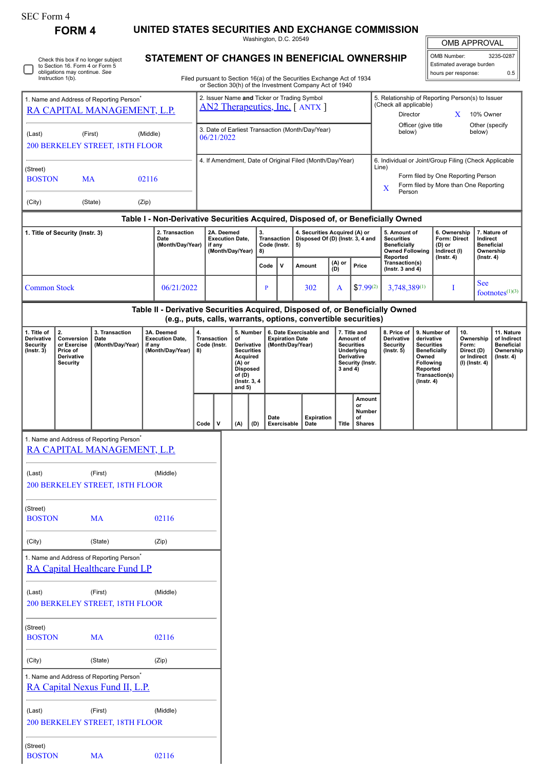| SEC Form 4 |
|------------|
|------------|

 $\Box$ 

(Street)

BOSTON MA 02116

|                                                                                                                                                                   | <b>FORM4</b>                                                                 |                                                                                        |        | UNITED STATES SECURITIES AND EXCHANGE COMMISSION                              |                                                                                                                        |                                                                                                                                                |                  |                                                                                                                                                                                  |                                                |           | Washington, D.C. 20549                                                  |                                                                |                    |                                                                                                                                                              |                                                                                                          |                                                                                                                                                                         |                                                                            |                                                                       |                                                                                |                                                          |                                                                                 |
|-------------------------------------------------------------------------------------------------------------------------------------------------------------------|------------------------------------------------------------------------------|----------------------------------------------------------------------------------------|--------|-------------------------------------------------------------------------------|------------------------------------------------------------------------------------------------------------------------|------------------------------------------------------------------------------------------------------------------------------------------------|------------------|----------------------------------------------------------------------------------------------------------------------------------------------------------------------------------|------------------------------------------------|-----------|-------------------------------------------------------------------------|----------------------------------------------------------------|--------------------|--------------------------------------------------------------------------------------------------------------------------------------------------------------|----------------------------------------------------------------------------------------------------------|-------------------------------------------------------------------------------------------------------------------------------------------------------------------------|----------------------------------------------------------------------------|-----------------------------------------------------------------------|--------------------------------------------------------------------------------|----------------------------------------------------------|---------------------------------------------------------------------------------|
| Check this box if no longer subject<br>to Section 16. Form 4 or Form 5<br>obligations may continue. See<br>Instruction 1(b).                                      |                                                                              |                                                                                        |        |                                                                               | STATEMENT OF CHANGES IN BENEFICIAL OWNERSHIP<br>Filed pursuant to Section 16(a) of the Securities Exchange Act of 1934 |                                                                                                                                                |                  |                                                                                                                                                                                  |                                                |           |                                                                         |                                                                |                    | <b>OMB APPROVAL</b><br>OMB Number:<br>3235-0287<br>Estimated average burden<br>0.5<br>hours per response:                                                    |                                                                                                          |                                                                                                                                                                         |                                                                            |                                                                       |                                                                                |                                                          |                                                                                 |
| 1. Name and Address of Reporting Person <sup>*</sup><br>RA CAPITAL MANAGEMENT, L.P.                                                                               |                                                                              |                                                                                        |        |                                                                               |                                                                                                                        | or Section 30(h) of the Investment Company Act of 1940<br>2. Issuer Name and Ticker or Trading Symbol<br><b>AN2 Therapeutics, Inc.</b> [ANTX ] |                  |                                                                                                                                                                                  |                                                |           |                                                                         |                                                                |                    |                                                                                                                                                              | 5. Relationship of Reporting Person(s) to Issuer<br>(Check all applicable)<br>Director<br>10% Owner<br>X |                                                                                                                                                                         |                                                                            |                                                                       |                                                                                |                                                          |                                                                                 |
| (First)<br>(Last)<br>(Middle)<br>200 BERKELEY STREET, 18TH FLOOR                                                                                                  |                                                                              |                                                                                        |        |                                                                               | 3. Date of Earliest Transaction (Month/Day/Year)<br>06/21/2022                                                         |                                                                                                                                                |                  |                                                                                                                                                                                  |                                                |           |                                                                         |                                                                |                    | Officer (give title<br>Other (specify<br>below)<br>below)                                                                                                    |                                                                                                          |                                                                                                                                                                         |                                                                            |                                                                       |                                                                                |                                                          |                                                                                 |
| (Street)<br><b>BOSTON</b><br>MA<br>02116                                                                                                                          |                                                                              |                                                                                        |        |                                                                               | 4. If Amendment, Date of Original Filed (Month/Day/Year)                                                               |                                                                                                                                                |                  |                                                                                                                                                                                  |                                                |           |                                                                         |                                                                |                    | 6. Individual or Joint/Group Filing (Check Applicable<br>Line)<br>Form filed by One Reporting Person<br>Form filed by More than One Reporting<br>X<br>Person |                                                                                                          |                                                                                                                                                                         |                                                                            |                                                                       |                                                                                |                                                          |                                                                                 |
| (City)                                                                                                                                                            |                                                                              | (State)                                                                                | (Zip)  |                                                                               |                                                                                                                        |                                                                                                                                                |                  |                                                                                                                                                                                  |                                                |           |                                                                         |                                                                |                    |                                                                                                                                                              |                                                                                                          |                                                                                                                                                                         |                                                                            |                                                                       |                                                                                |                                                          |                                                                                 |
| Table I - Non-Derivative Securities Acquired, Disposed of, or Beneficially Owned<br>2. Transaction<br>1. Title of Security (Instr. 3)<br>Date<br>(Month/Day/Year) |                                                                              |                                                                                        |        | 2A. Deemed<br><b>Execution Date,</b><br>if any                                |                                                                                                                        |                                                                                                                                                | (Month/Day/Year) |                                                                                                                                                                                  | 3.<br><b>Transaction</b><br>Code (Instr.<br>8) |           | 4. Securities Acquired (A) or<br>Disposed Of (D) (Instr. 3, 4 and<br>5) |                                                                |                    |                                                                                                                                                              | 5. Amount of<br><b>Securities</b><br><b>Beneficially</b><br><b>Owned Following</b><br>Reported           |                                                                                                                                                                         | 6. Ownership<br>Form: Direct<br>(D) or<br>Indirect (I)<br>$($ Instr. 4 $)$ |                                                                       | 7. Nature of<br>Indirect<br><b>Beneficial</b><br>Ownership<br>$($ Instr. 4 $)$ |                                                          |                                                                                 |
| <b>Common Stock</b>                                                                                                                                               |                                                                              |                                                                                        |        | 06/21/2022                                                                    |                                                                                                                        |                                                                                                                                                |                  |                                                                                                                                                                                  |                                                | Code<br>P | v                                                                       | Amount<br>302                                                  | (A) or<br>(D)<br>A | Price                                                                                                                                                        | $$7.99^{(2)}$                                                                                            | Transaction(s)<br>(Instr. $3$ and $4$ )<br>$3,748,389^{(1)}$                                                                                                            | I                                                                          |                                                                       |                                                                                | <b>See</b><br>footnotes $(1)(3)$                         |                                                                                 |
|                                                                                                                                                                   |                                                                              |                                                                                        |        | Table II - Derivative Securities Acquired, Disposed of, or Beneficially Owned |                                                                                                                        |                                                                                                                                                |                  |                                                                                                                                                                                  |                                                |           |                                                                         | (e.g., puts, calls, warrants, options, convertible securities) |                    |                                                                                                                                                              |                                                                                                          |                                                                                                                                                                         |                                                                            |                                                                       |                                                                                |                                                          |                                                                                 |
| 1. Title of<br>Derivative<br><b>Security</b><br>$($ Instr. 3 $)$                                                                                                  | 2.<br>Conversion<br>or Exercise<br>Price of<br>Derivative<br><b>Security</b> | 3. Transaction<br>Date<br>(Month/Day/Year)                                             | if any | 3A. Deemed<br><b>Execution Date,</b><br>(Month/Day/Year)                      | 4.<br><b>Transaction</b><br>Code (Instr.<br>8)                                                                         |                                                                                                                                                |                  | 5. Number<br>of<br><b>Expiration Date</b><br>Derivative<br>(Month/Day/Year)<br><b>Securities</b><br>Acquired<br>(A) or<br><b>Disposed</b><br>of (D)<br>(Instr. 3, 4)<br>and $5)$ |                                                |           |                                                                         | 6. Date Exercisable and                                        |                    | 7. Title and<br>Amount of<br><b>Securities</b><br>Underlying<br>Derivative<br>Security (Instr.<br>$3$ and $4)$                                               |                                                                                                          | 8. Price of<br><b>Derivative</b><br>derivative<br><b>Security</b><br><b>Securities</b><br>$($ Instr. 5 $)$<br>Owned<br><b>Following</b><br>Reported<br>$($ Instr. 4 $)$ |                                                                            | 9. Number of<br>10.<br>Form:<br><b>Beneficially</b><br>Transaction(s) |                                                                                | Ownership<br>Direct (D)<br>or Indirect<br>(I) (Instr. 4) | 11. Nature<br>of Indirect<br><b>Beneficial</b><br>Ownership<br>$($ lnstr. 4 $)$ |
|                                                                                                                                                                   |                                                                              |                                                                                        |        |                                                                               | Code                                                                                                                   | v                                                                                                                                              |                  | (A)                                                                                                                                                                              | (D)                                            | Date      | Exercisable                                                             | <b>Expiration</b><br>Date                                      |                    | or<br>of<br>Title                                                                                                                                            | Amount<br>Number<br><b>Shares</b>                                                                        |                                                                                                                                                                         |                                                                            |                                                                       |                                                                                |                                                          |                                                                                 |
|                                                                                                                                                                   |                                                                              | 1. Name and Address of Reporting Person <sup>*</sup><br>RA CAPITAL MANAGEMENT, L.P.    |        |                                                                               |                                                                                                                        |                                                                                                                                                |                  |                                                                                                                                                                                  |                                                |           |                                                                         |                                                                |                    |                                                                                                                                                              |                                                                                                          |                                                                                                                                                                         |                                                                            |                                                                       |                                                                                |                                                          |                                                                                 |
| (Last)                                                                                                                                                            |                                                                              | (First)<br>200 BERKELEY STREET, 18TH FLOOR                                             |        | (Middle)                                                                      |                                                                                                                        |                                                                                                                                                |                  |                                                                                                                                                                                  |                                                |           |                                                                         |                                                                |                    |                                                                                                                                                              |                                                                                                          |                                                                                                                                                                         |                                                                            |                                                                       |                                                                                |                                                          |                                                                                 |
| (Street)<br><b>BOSTON</b>                                                                                                                                         |                                                                              | <b>MA</b>                                                                              |        | 02116                                                                         |                                                                                                                        |                                                                                                                                                |                  |                                                                                                                                                                                  |                                                |           |                                                                         |                                                                |                    |                                                                                                                                                              |                                                                                                          |                                                                                                                                                                         |                                                                            |                                                                       |                                                                                |                                                          |                                                                                 |
| (City)                                                                                                                                                            |                                                                              | (State)                                                                                |        | (Zip)                                                                         |                                                                                                                        |                                                                                                                                                |                  |                                                                                                                                                                                  |                                                |           |                                                                         |                                                                |                    |                                                                                                                                                              |                                                                                                          |                                                                                                                                                                         |                                                                            |                                                                       |                                                                                |                                                          |                                                                                 |
|                                                                                                                                                                   |                                                                              | 1. Name and Address of Reporting Person <sup>*</sup><br>RA Capital Healthcare Fund LP  |        |                                                                               |                                                                                                                        |                                                                                                                                                |                  |                                                                                                                                                                                  |                                                |           |                                                                         |                                                                |                    |                                                                                                                                                              |                                                                                                          |                                                                                                                                                                         |                                                                            |                                                                       |                                                                                |                                                          |                                                                                 |
| (Last)                                                                                                                                                            |                                                                              | (First)<br>200 BERKELEY STREET, 18TH FLOOR                                             |        | (Middle)                                                                      |                                                                                                                        |                                                                                                                                                |                  |                                                                                                                                                                                  |                                                |           |                                                                         |                                                                |                    |                                                                                                                                                              |                                                                                                          |                                                                                                                                                                         |                                                                            |                                                                       |                                                                                |                                                          |                                                                                 |
| (Street)<br><b>BOSTON</b>                                                                                                                                         |                                                                              | <b>MA</b>                                                                              |        | 02116                                                                         |                                                                                                                        |                                                                                                                                                |                  |                                                                                                                                                                                  |                                                |           |                                                                         |                                                                |                    |                                                                                                                                                              |                                                                                                          |                                                                                                                                                                         |                                                                            |                                                                       |                                                                                |                                                          |                                                                                 |
| (City)                                                                                                                                                            |                                                                              | (State)                                                                                |        | (Zip)                                                                         |                                                                                                                        |                                                                                                                                                |                  |                                                                                                                                                                                  |                                                |           |                                                                         |                                                                |                    |                                                                                                                                                              |                                                                                                          |                                                                                                                                                                         |                                                                            |                                                                       |                                                                                |                                                          |                                                                                 |
|                                                                                                                                                                   |                                                                              | 1. Name and Address of Reporting Person <sup>*</sup><br>RA Capital Nexus Fund II, L.P. |        |                                                                               |                                                                                                                        |                                                                                                                                                |                  |                                                                                                                                                                                  |                                                |           |                                                                         |                                                                |                    |                                                                                                                                                              |                                                                                                          |                                                                                                                                                                         |                                                                            |                                                                       |                                                                                |                                                          |                                                                                 |
| (Last)                                                                                                                                                            |                                                                              | (First)<br>200 BERKELEY STREET, 18TH FLOOR                                             |        | (Middle)                                                                      |                                                                                                                        |                                                                                                                                                |                  |                                                                                                                                                                                  |                                                |           |                                                                         |                                                                |                    |                                                                                                                                                              |                                                                                                          |                                                                                                                                                                         |                                                                            |                                                                       |                                                                                |                                                          |                                                                                 |